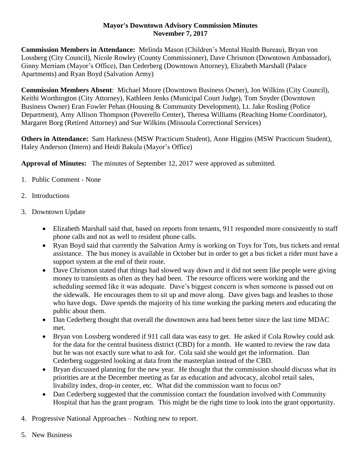## **Mayor's Downtown Advisory Commission Minutes November 7, 2017**

**Commission Members in Attendance:** Melinda Mason (Children's Mental Health Bureau), Bryan von Lossberg (City Council), Nicole Rowley (County Commissioner), Dave Chrismon (Downtown Ambassador), Ginny Merriam (Mayor's Office), Dan Cederberg (Downtown Attorney), Elizabeth Marshall (Palace Apartments) and Ryan Boyd (Salvation Army)

**Commission Members Absent**: Michael Moore (Downtown Business Owner), Jon Wilkins (City Council), Keithi Worthington (City Attorney), Kathleen Jenks (Municipal Court Judge), Tom Snyder (Downtown Business Owner) Eran Fowler Pehan (Housing & Community Development), Lt. Jake Rosling (Police Department), Amy Allison Thompson (Poverello Center), Theresa Williams (Reaching Home Coordinator), Margaret Borg (Retired Attorney) and Sue Wilkins (Missoula Correctional Services)

**Others in Attendance:** Sam Harkness (MSW Practicum Student), Anne Higgins (MSW Practicum Student), Haley Anderson (Intern) and Heidi Bakula (Mayor's Office)

**Approval of Minutes:** The minutes of September 12, 2017 were approved as submitted.

- 1. Public Comment None
- 2. Introductions
- 3. Downtown Update
	- Elizabeth Marshall said that, based on reports from tenants, 911 responded more consistently to staff phone calls and not as well to resident phone calls.
	- Ryan Boyd said that currently the Salvation Army is working on Toys for Tots, bus tickets and rental assistance. The bus money is available in October but in order to get a bus ticket a rider must have a support system at the end of their route.
	- Dave Chrismon stated that things had slowed way down and it did not seem like people were giving money to transients as often as they had been. The resource officers were working and the scheduling seemed like it was adequate. Dave's biggest concern is when someone is passed out on the sidewalk. He encourages them to sit up and move along. Dave gives bags and leashes to those who have dogs. Dave spends the majority of his time working the parking meters and educating the public about them.
	- Dan Cederberg thought that overall the downtown area had been better since the last time MDAC met.
	- Bryan von Lossberg wondered if 911 call data was easy to get. He asked if Cola Rowley could ask for the data for the central business district (CBD) for a month. He wanted to review the raw data but he was not exactly sure what to ask for. Cola said she would get the information. Dan Cederberg suggested looking at data from the masterplan instead of the CBD.
	- Bryan discussed planning for the new year. He thought that the commission should discuss what its priorities are at the December meeting as far as education and advocacy, alcohol retail sales, livability index, drop-in center, etc. What did the commission want to focus on?
	- Dan Cederberg suggested that the commission contact the foundation involved with Community Hospital that has the grant program. This might be the right time to look into the grant opportunity.
- 4. Progressive National Approaches Nothing new to report.
- 5. New Business